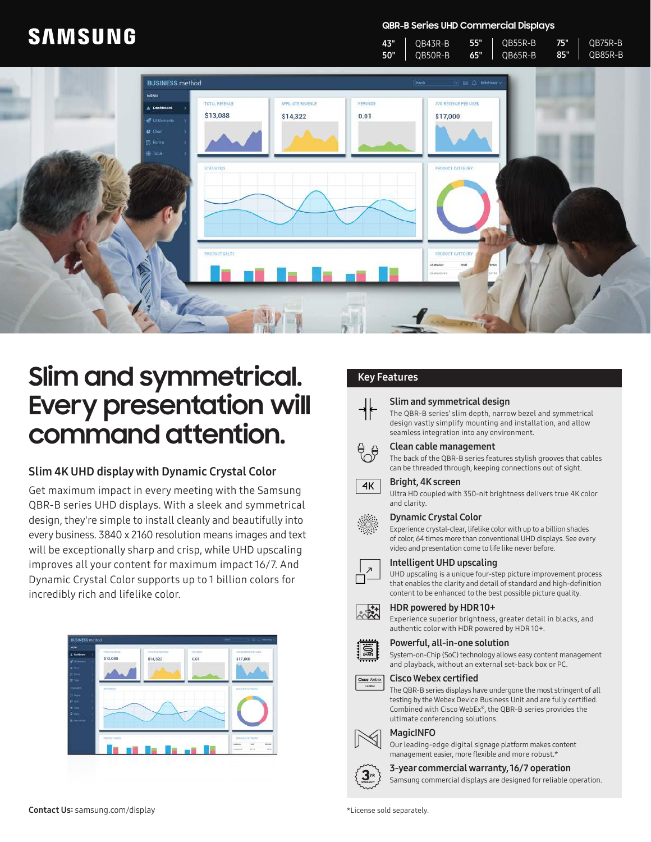# **SAMSUNG**

**QBR-B Series UHD Commercial Displays** 55"

QB55R-B

75"

QB75R-B

QB43R-B



# **Slim and symmetrical.** Key Features **Every presentation will command attention.**

# Slim 4K UHD display with Dynamic Crystal Color

Get maximum impact in every meeting with the Samsung QBR-B series UHD displays. With a sleek and symmetrical design, they're simple to install cleanly and beautifully into every business. 3840 x 2160 resolution means images and text will be exceptionally sharp and crisp, while UHD upscaling improves all your content for maximum impact 16/7. And Dynamic Crystal Color supports up to 1 billion colors for incredibly rich and lifelike color.



43"

### Slim and symmetrical design

The QBR-B series' slim depth, narrow bezel and symmetrical design vastly simplify mounting and installation, and allow seamless integration into any environment.

# Clean cable management

The back of the QBR-B series features stylish grooves that cables can be threaded through, keeping connections out of sight.

### Bright, 4K screen

Ultra HD coupled with 350-nit brightness delivers true 4K color and clarity.

### Dynamic Crystal Color

Experience crystal-clear, lifelike color with up to a billion shades of color, 64 times more than conventional UHD displays. See every video and presentation come to life like never before.



<u>s</u>

 $4K$ 

## Intelligent UHD upscaling

UHD upscaling is a unique four-step picture improvement process that enables the clarity and detail of standard and high-definition content to be enhanced to the best possible picture quality.

#### HDR powered by HDR 10+  $\frac{1}{2}$

Experience superior brightness, greater detail in blacks, and authentic color with HDR powered by HDR 10+.



System-on-Chip (SoC) technology allows easy content management and playback, without an external set-back box or PC.



The QBR-B series displays have undergone the most stringent of all testing by the Webex Device Business Unit and are fully certified. Combined with Cisco WebEx®, the QBR-B series provides the ultimate conferencing solutions.

#### MagicINFO

Our leading-edge digital signage platform makes content management easier, more flexible and more robust.\*



3-year commercial warranty, 16/7 operation

Samsung commercial displays are designed for reliable operation.